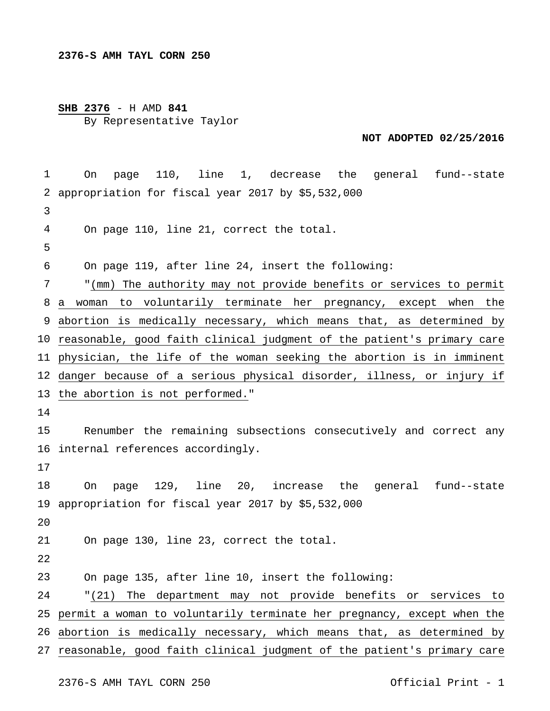## **SHB 2376** - H AMD **841** By Representative Taylor

## **NOT ADOPTED 02/25/2016**

 appropriation for fiscal year 2017 by \$5,532,000 a woman to voluntarily terminate her pregnancy, except when the abortion is medically necessary, which means that, as determined by reasonable, good faith clinical judgment of the patient's primary care physician, the life of the woman seeking the abortion is in imminent danger because of a serious physical disorder, illness, or injury if the abortion is not performed." internal references accordingly. appropriation for fiscal year 2017 by \$5,532,000  $2.0$  permit a woman to voluntarily terminate her pregnancy, except when the abortion is medically necessary, which means that, as determined by reasonable, good faith clinical judgment of the patient's primary care On page 110, line 1, decrease the general fund--state On page 110, line 21, correct the total. On page 119, after line 24, insert the following: "(mm) The authority may not provide benefits or services to permit Renumber the remaining subsections consecutively and correct any On page 129, line 20, increase the general fund--state On page 130, line 23, correct the total. On page 135, after line 10, insert the following: "(21) The department may not provide benefits or services to